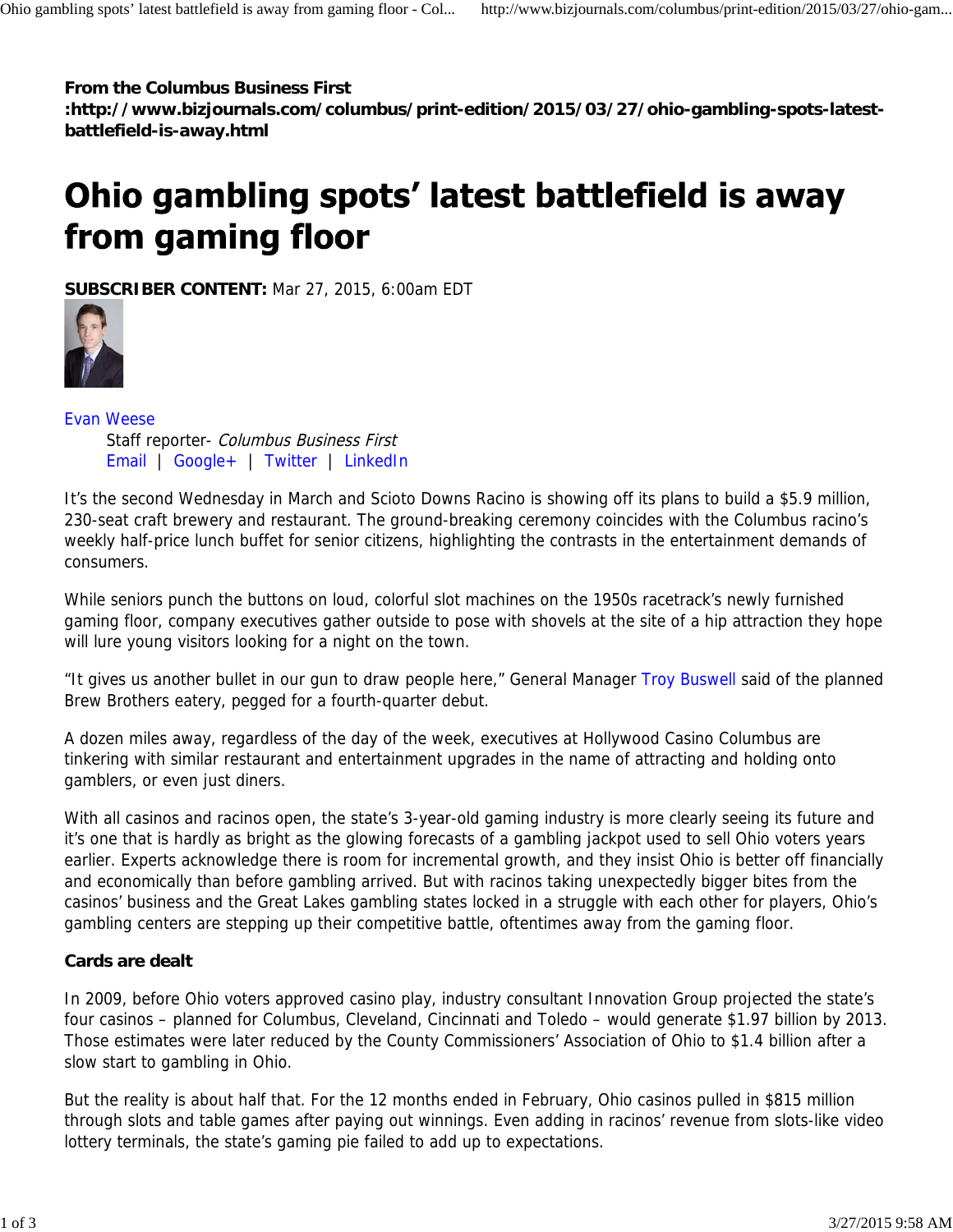**From the Columbus Business First**

**:http://www.bizjournals.com/columbus/print-edition/2015/03/27/ohio-gambling-spots-latestbattlefield-is-away.html**

## Ohio gambling spots' latest battlefield is away from gaming floor

**SUBSCRIBER CONTENT:** Mar 27, 2015, 6:00am EDT



Evan Weese

Staff reporter- Columbus Business First Email | Google+ | Twitter | LinkedIn

It's the second Wednesday in March and Scioto Downs Racino is showing off its plans to build a \$5.9 million, 230-seat craft brewery and restaurant. The ground-breaking ceremony coincides with the Columbus racino's weekly half-price lunch buffet for senior citizens, highlighting the contrasts in the entertainment demands of consumers.

While seniors punch the buttons on loud, colorful slot machines on the 1950s racetrack's newly furnished gaming floor, company executives gather outside to pose with shovels at the site of a hip attraction they hope will lure young visitors looking for a night on the town.

"It gives us another bullet in our gun to draw people here," General Manager Troy Buswell said of the planned Brew Brothers eatery, pegged for a fourth-quarter debut.

A dozen miles away, regardless of the day of the week, executives at Hollywood Casino Columbus are tinkering with similar restaurant and entertainment upgrades in the name of attracting and holding onto gamblers, or even just diners.

With all casinos and racinos open, the state's 3-year-old gaming industry is more clearly seeing its future and it's one that is hardly as bright as the glowing forecasts of a gambling jackpot used to sell Ohio voters years earlier. Experts acknowledge there is room for incremental growth, and they insist Ohio is better off financially and economically than before gambling arrived. But with racinos taking unexpectedly bigger bites from the casinos' business and the Great Lakes gambling states locked in a struggle with each other for players, Ohio's gambling centers are stepping up their competitive battle, oftentimes away from the gaming floor.

## **Cards are dealt**

In 2009, before Ohio voters approved casino play, industry consultant Innovation Group projected the state's four casinos – planned for Columbus, Cleveland, Cincinnati and Toledo – would generate \$1.97 billion by 2013. Those estimates were later reduced by the County Commissioners' Association of Ohio to \$1.4 billion after a slow start to gambling in Ohio.

But the reality is about half that. For the 12 months ended in February, Ohio casinos pulled in \$815 million through slots and table games after paying out winnings. Even adding in racinos' revenue from slots-like video lottery terminals, the state's gaming pie failed to add up to expectations.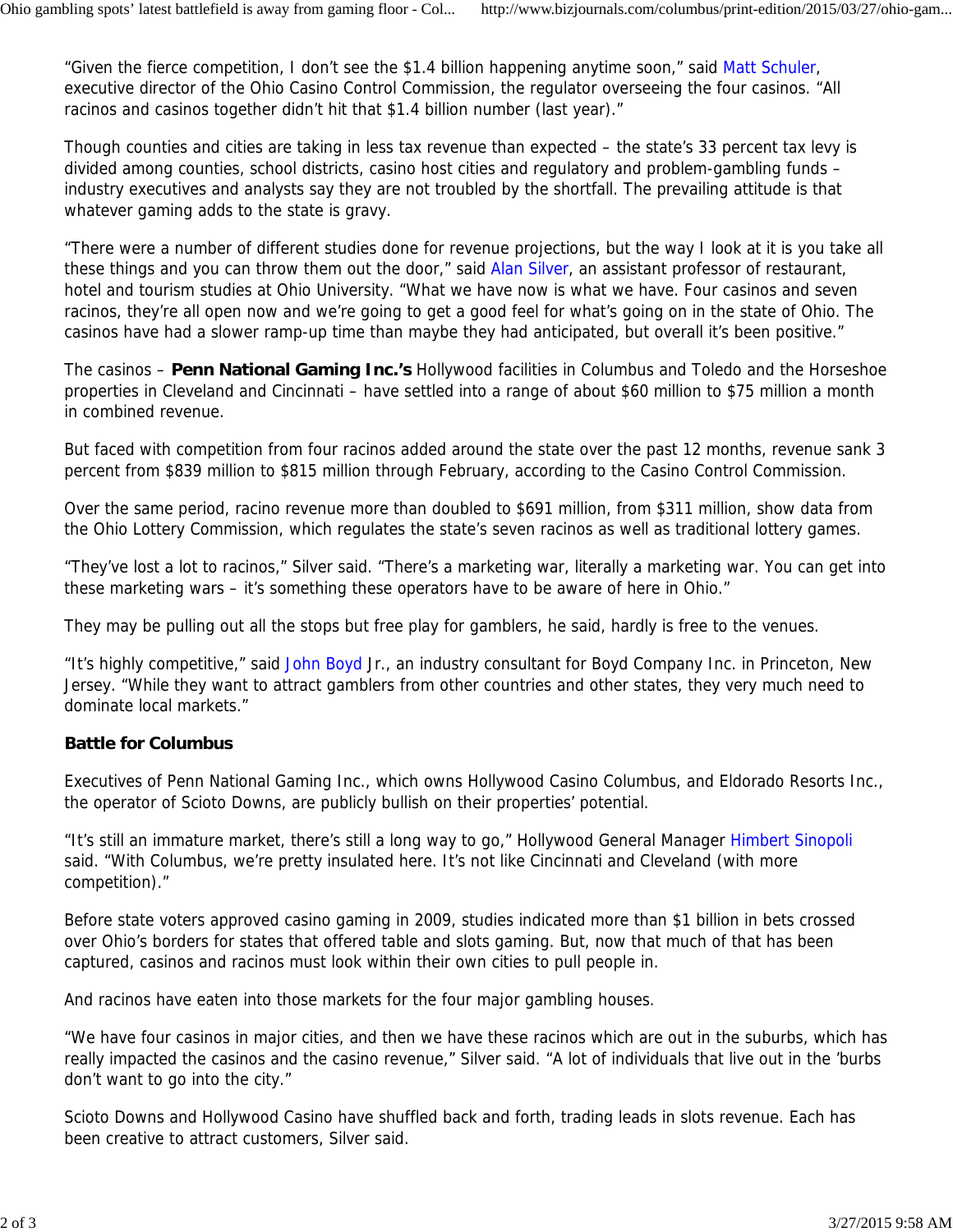"Given the fierce competition, I don't see the \$1.4 billion happening anytime soon," said Matt Schuler, executive director of the Ohio Casino Control Commission, the regulator overseeing the four casinos. "All racinos and casinos together didn't hit that \$1.4 billion number (last year)."

Though counties and cities are taking in less tax revenue than expected – the state's 33 percent tax levy is divided among counties, school districts, casino host cities and regulatory and problem-gambling funds – industry executives and analysts say they are not troubled by the shortfall. The prevailing attitude is that whatever gaming adds to the state is gravy.

"There were a number of different studies done for revenue projections, but the way I look at it is you take all these things and you can throw them out the door," said Alan Silver, an assistant professor of restaurant, hotel and tourism studies at Ohio University. "What we have now is what we have. Four casinos and seven racinos, they're all open now and we're going to get a good feel for what's going on in the state of Ohio. The casinos have had a slower ramp-up time than maybe they had anticipated, but overall it's been positive."

The casinos – **Penn National Gaming Inc.'s** Hollywood facilities in Columbus and Toledo and the Horseshoe properties in Cleveland and Cincinnati – have settled into a range of about \$60 million to \$75 million a month in combined revenue.

But faced with competition from four racinos added around the state over the past 12 months, revenue sank 3 percent from \$839 million to \$815 million through February, according to the Casino Control Commission.

Over the same period, racino revenue more than doubled to \$691 million, from \$311 million, show data from the Ohio Lottery Commission, which regulates the state's seven racinos as well as traditional lottery games.

"They've lost a lot to racinos," Silver said. "There's a marketing war, literally a marketing war. You can get into these marketing wars – it's something these operators have to be aware of here in Ohio."

They may be pulling out all the stops but free play for gamblers, he said, hardly is free to the venues.

"It's highly competitive," said John Boyd Jr., an industry consultant for Boyd Company Inc. in Princeton, New Jersey. "While they want to attract gamblers from other countries and other states, they very much need to dominate local markets."

## **Battle for Columbus**

Executives of Penn National Gaming Inc., which owns Hollywood Casino Columbus, and Eldorado Resorts Inc., the operator of Scioto Downs, are publicly bullish on their properties' potential.

"It's still an immature market, there's still a long way to go," Hollywood General Manager Himbert Sinopoli said. "With Columbus, we're pretty insulated here. It's not like Cincinnati and Cleveland (with more competition)."

Before state voters approved casino gaming in 2009, studies indicated more than \$1 billion in bets crossed over Ohio's borders for states that offered table and slots gaming. But, now that much of that has been captured, casinos and racinos must look within their own cities to pull people in.

And racinos have eaten into those markets for the four major gambling houses.

"We have four casinos in major cities, and then we have these racinos which are out in the suburbs, which has really impacted the casinos and the casino revenue," Silver said. "A lot of individuals that live out in the 'burbs don't want to go into the city."

Scioto Downs and Hollywood Casino have shuffled back and forth, trading leads in slots revenue. Each has been creative to attract customers, Silver said.